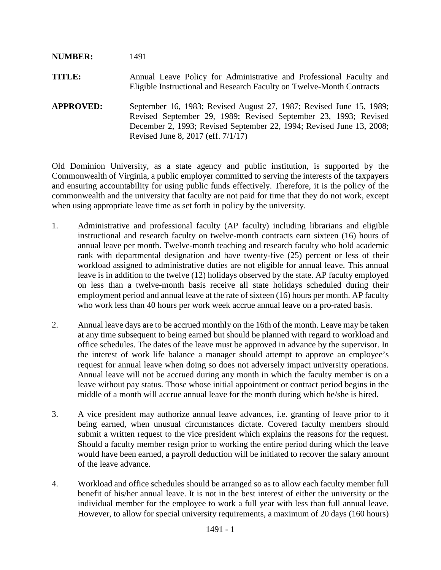## **NUMBER:** 1491

- **TITLE:** Annual Leave Policy for Administrative and Professional Faculty and Eligible Instructional and Research Faculty on Twelve-Month Contracts
- **APPROVED:** September 16, 1983; Revised August 27, 1987; Revised June 15, 1989; Revised September 29, 1989; Revised September 23, 1993; Revised December 2, 1993; Revised September 22, 1994; Revised June 13, 2008; Revised June 8, 2017 (eff. 7/1/17)

Old Dominion University, as a state agency and public institution, is supported by the Commonwealth of Virginia, a public employer committed to serving the interests of the taxpayers and ensuring accountability for using public funds effectively. Therefore, it is the policy of the commonwealth and the university that faculty are not paid for time that they do not work, except when using appropriate leave time as set forth in policy by the university.

- 1. Administrative and professional faculty (AP faculty) including librarians and eligible instructional and research faculty on twelve-month contracts earn sixteen (16) hours of annual leave per month. Twelve-month teaching and research faculty who hold academic rank with departmental designation and have twenty-five (25) percent or less of their workload assigned to administrative duties are not eligible for annual leave. This annual leave is in addition to the twelve (12) holidays observed by the state. AP faculty employed on less than a twelve-month basis receive all state holidays scheduled during their employment period and annual leave at the rate of sixteen (16) hours per month. AP faculty who work less than 40 hours per work week accrue annual leave on a pro-rated basis.
- 2. Annual leave days are to be accrued monthly on the 16th of the month. Leave may be taken at any time subsequent to being earned but should be planned with regard to workload and office schedules. The dates of the leave must be approved in advance by the supervisor. In the interest of work life balance a manager should attempt to approve an employee's request for annual leave when doing so does not adversely impact university operations. Annual leave will not be accrued during any month in which the faculty member is on a leave without pay status. Those whose initial appointment or contract period begins in the middle of a month will accrue annual leave for the month during which he/she is hired.
- 3. A vice president may authorize annual leave advances, i.e. granting of leave prior to it being earned, when unusual circumstances dictate. Covered faculty members should submit a written request to the vice president which explains the reasons for the request. Should a faculty member resign prior to working the entire period during which the leave would have been earned, a payroll deduction will be initiated to recover the salary amount of the leave advance.
- 4. Workload and office schedules should be arranged so as to allow each faculty member full benefit of his/her annual leave. It is not in the best interest of either the university or the individual member for the employee to work a full year with less than full annual leave. However, to allow for special university requirements, a maximum of 20 days (160 hours)